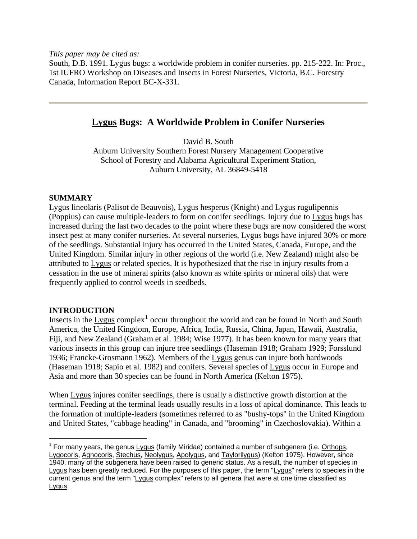*This paper may be cited as:* 

South, D.B. 1991. Lygus bugs: a worldwide problem in conifer nurseries. pp. 215-222. In: Proc., 1st IUFRO Workshop on Diseases and Insects in Forest Nurseries, Victoria, B.C. Forestry Canada, Information Report BC-X-331.

# **Lygus Bugs: A Worldwide Problem in Conifer Nurseries**

David B. South

Auburn University Southern Forest Nursery Management Cooperative School of Forestry and Alabama Agricultural Experiment Station, Auburn University, AL 36849-5418

# **SUMMARY**

Lygus lineolaris (Palisot de Beauvois), Lygus hesperus (Knight) and Lygus rugulipennis (Poppius) can cause multiple-leaders to form on conifer seedlings. Injury due to Lygus bugs has increased during the last two decades to the point where these bugs are now considered the worst insect pest at many conifer nurseries. At several nurseries, Lygus bugs have injured 30% or more of the seedlings. Substantial injury has occurred in the United States, Canada, Europe, and the United Kingdom. Similar injury in other regions of the world (i.e. New Zealand) might also be attributed to Lygus or related species. It is hypothesized that the rise in injury results from a cessation in the use of mineral spirits (also known as white spirits or mineral oils) that were frequently applied to control weeds in seedbeds.

# **INTRODUCTION**

Insects in the  $Lygus$  complex<sup>[1](#page-0-0)</sup> occur throughout the world and can be found in North and South America, the United Kingdom, Europe, Africa, India, Russia, China, Japan, Hawaii, Australia, Fiji, and New Zealand (Graham et al. 1984; Wise 1977). It has been known for many years that various insects in this group can injure tree seedlings (Haseman 1918; Graham 1929; Forsslund 1936; Francke-Grosmann 1962). Members of the Lygus genus can injure both hardwoods (Haseman 1918; Sapio et al. 1982) and conifers. Several species of Lygus occur in Europe and Asia and more than 30 species can be found in North America (Kelton 1975).

When Lygus injures conifer seedlings, there is usually a distinctive growth distortion at the terminal. Feeding at the terminal leads usually results in a loss of apical dominance. This leads to the formation of multiple-leaders (sometimes referred to as "bushy-tops" in the United Kingdom and United States, "cabbage heading" in Canada, and "brooming" in Czechoslovakia). Within a

<span id="page-0-0"></span> $\overline{a}$ <sup>1</sup> For many years, the genus Lygus (family Miridae) contained a number of subgenera (i.e.  $Orthops$ ,</u> Lygocoris, Agnocoris, Stechus, Neolygus, Apolygus, and Taylorilygus) (Kelton 1975). However, since 1940, many of the subgenera have been raised to generic status. As a result, the number of species in Lygus has been greatly reduced. For the purposes of this paper, the term "Lygus" refers to species in the current genus and the term "Lygus complex" refers to all genera that were at one time classified as Lygus.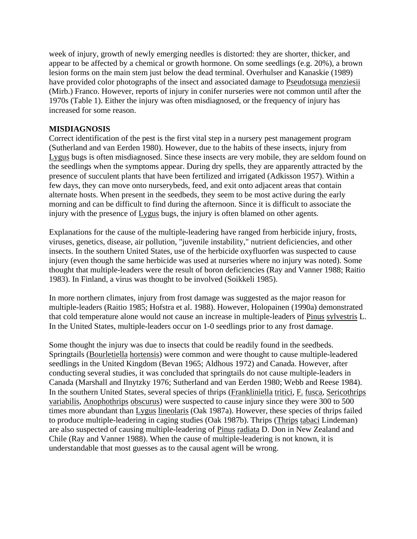week of injury, growth of newly emerging needles is distorted: they are shorter, thicker, and appear to be affected by a chemical or growth hormone. On some seedlings (e.g. 20%), a brown lesion forms on the main stem just below the dead terminal. Overhulser and Kanaskie (1989) have provided color photographs of the insect and associated damage to Pseudotsuga menziesii (Mirb.) Franco. However, reports of injury in conifer nurseries were not common until after the 1970s (Table 1). Either the injury was often misdiagnosed, or the frequency of injury has increased for some reason.

### **MISDIAGNOSIS**

Correct identification of the pest is the first vital step in a nursery pest management program (Sutherland and van Eerden 1980). However, due to the habits of these insects, injury from Lygus bugs is often misdiagnosed. Since these insects are very mobile, they are seldom found on the seedlings when the symptoms appear. During dry spells, they are apparently attracted by the presence of succulent plants that have been fertilized and irrigated (Adkisson 1957). Within a few days, they can move onto nurserybeds, feed, and exit onto adjacent areas that contain alternate hosts. When present in the seedbeds, they seem to be most active during the early morning and can be difficult to find during the afternoon. Since it is difficult to associate the injury with the presence of Lygus bugs, the injury is often blamed on other agents.

Explanations for the cause of the multiple-leadering have ranged from herbicide injury, frosts, viruses, genetics, disease, air pollution, "juvenile instability," nutrient deficiencies, and other insects. In the southern United States, use of the herbicide oxyfluorfen was suspected to cause injury (even though the same herbicide was used at nurseries where no injury was noted). Some thought that multiple-leaders were the result of boron deficiencies (Ray and Vanner 1988; Raitio 1983). In Finland, a virus was thought to be involved (Soikkeli 1985).

In more northern climates, injury from frost damage was suggested as the major reason for multiple-leaders (Raitio 1985; Hofstra et al. 1988). However, Holopainen (1990a) demonstrated that cold temperature alone would not cause an increase in multiple-leaders of Pinus sylvestris L. In the United States, multiple-leaders occur on 1-0 seedlings prior to any frost damage.

Some thought the injury was due to insects that could be readily found in the seedbeds. Springtails (Bourletiella hortensis) were common and were thought to cause multiple-leadered seedlings in the United Kingdom (Bevan 1965; Aldhous 1972) and Canada. However, after conducting several studies, it was concluded that springtails do not cause multiple-leaders in Canada (Marshall and Ilnytzky 1976; Sutherland and van Eerden 1980; Webb and Reese 1984). In the southern United States, several species of thrips (Frankliniella tritici, F. fusca, Sericothrips variabilis, Anophothrips obscurus) were suspected to cause injury since they were 300 to 500 times more abundant than Lygus lineolaris (Oak 1987a). However, these species of thrips failed to produce multiple-leadering in caging studies (Oak 1987b). Thrips (Thrips tabaci Lindeman) are also suspected of causing multiple-leadering of Pinus radiata D. Don in New Zealand and Chile (Ray and Vanner 1988). When the cause of multiple-leadering is not known, it is understandable that most guesses as to the causal agent will be wrong.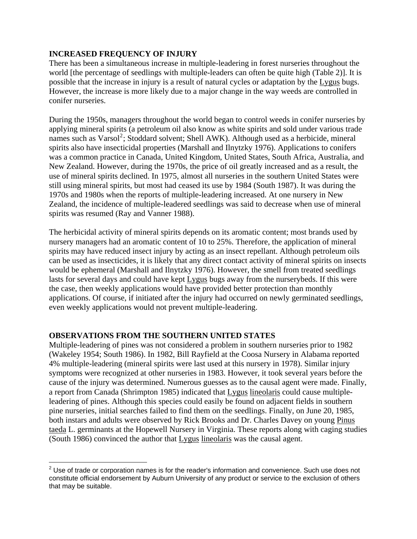### **INCREASED FREQUENCY OF INJURY**

There has been a simultaneous increase in multiple-leadering in forest nurseries throughout the world [the percentage of seedlings with multiple-leaders can often be quite high (Table 2)]. It is possible that the increase in injury is a result of natural cycles or adaptation by the Lygus bugs. However, the increase is more likely due to a major change in the way weeds are controlled in conifer nurseries.

During the 1950s, managers throughout the world began to control weeds in conifer nurseries by applying mineral spirits (a petroleum oil also know as white spirits and sold under various trade names such as Varsol<sup>[2](#page-2-0)</sup>; Stoddard solvent; Shell AWK). Although used as a herbicide, mineral spirits also have insecticidal properties (Marshall and Ilnytzky 1976). Applications to conifers was a common practice in Canada, United Kingdom, United States, South Africa, Australia, and New Zealand. However, during the 1970s, the price of oil greatly increased and as a result, the use of mineral spirits declined. In 1975, almost all nurseries in the southern United States were still using mineral spirits, but most had ceased its use by 1984 (South 1987). It was during the 1970s and 1980s when the reports of multiple-leadering increased. At one nursery in New Zealand, the incidence of multiple-leadered seedlings was said to decrease when use of mineral spirits was resumed (Ray and Vanner 1988).

The herbicidal activity of mineral spirits depends on its aromatic content; most brands used by nursery managers had an aromatic content of 10 to 25%. Therefore, the application of mineral spirits may have reduced insect injury by acting as an insect repellant. Although petroleum oils can be used as insecticides, it is likely that any direct contact activity of mineral spirits on insects would be ephemeral (Marshall and Ilnytzky 1976). However, the smell from treated seedlings lasts for several days and could have kept Lygus bugs away from the nurserybeds. If this were the case, then weekly applications would have provided better protection than monthly applications. Of course, if initiated after the injury had occurred on newly germinated seedlings, even weekly applications would not prevent multiple-leadering.

# **OBSERVATIONS FROM THE SOUTHERN UNITED STATES**

Multiple-leadering of pines was not considered a problem in southern nurseries prior to 1982 (Wakeley 1954; South 1986). In 1982, Bill Rayfield at the Coosa Nursery in Alabama reported 4% multiple-leadering (mineral spirits were last used at this nursery in 1978). Similar injury symptoms were recognized at other nurseries in 1983. However, it took several years before the cause of the injury was determined. Numerous guesses as to the causal agent were made. Finally, a report from Canada (Shrimpton 1985) indicated that Lygus lineolaris could cause multipleleadering of pines. Although this species could easily be found on adjacent fields in southern pine nurseries, initial searches failed to find them on the seedlings. Finally, on June 20, 1985, both instars and adults were observed by Rick Brooks and Dr. Charles Davey on young Pinus taeda L. germinants at the Hopewell Nursery in Virginia. These reports along with caging studies (South 1986) convinced the author that Lygus lineolaris was the causal agent.

<span id="page-2-0"></span> $\overline{a}$  $2$  Use of trade or corporation names is for the reader's information and convenience. Such use does not constitute official endorsement by Auburn University of any product or service to the exclusion of others that may be suitable.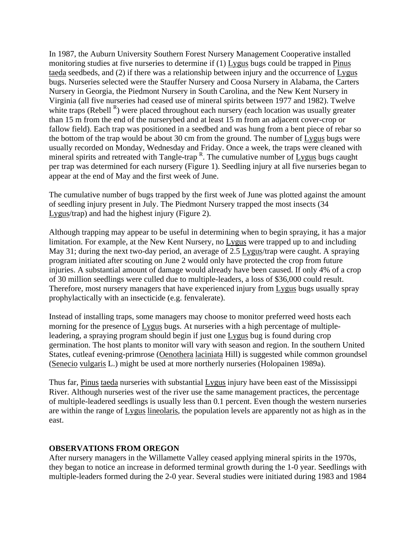In 1987, the Auburn University Southern Forest Nursery Management Cooperative installed monitoring studies at five nurseries to determine if (1) Lygus bugs could be trapped in Pinus taeda seedbeds, and (2) if there was a relationship between injury and the occurrence of Lygus bugs. Nurseries selected were the Stauffer Nursery and Coosa Nursery in Alabama, the Carters Nursery in Georgia, the Piedmont Nursery in South Carolina, and the New Kent Nursery in Virginia (all five nurseries had ceased use of mineral spirits between 1977 and 1982). Twelve white traps (Rebell  $<sup>R</sup>$ ) were placed throughout each nursery (each location was usually greater</sup> than 15 m from the end of the nurserybed and at least 15 m from an adjacent cover-crop or fallow field). Each trap was positioned in a seedbed and was hung from a bent piece of rebar so the bottom of the trap would be about 30 cm from the ground. The number of Lygus bugs were usually recorded on Monday, Wednesday and Friday. Once a week, the traps were cleaned with mineral spirits and retreated with Tangle-trap  $R$ . The cumulative number of  $Lygus$  bugs caught per trap was determined for each nursery (Figure 1). Seedling injury at all five nurseries began to appear at the end of May and the first week of June.

The cumulative number of bugs trapped by the first week of June was plotted against the amount of seedling injury present in July. The Piedmont Nursery trapped the most insects (34 Lygus/trap) and had the highest injury (Figure 2).

Although trapping may appear to be useful in determining when to begin spraying, it has a major limitation. For example, at the New Kent Nursery, no Lygus were trapped up to and including May 31; during the next two-day period, an average of 2.5 Lygus/trap were caught. A spraying program initiated after scouting on June 2 would only have protected the crop from future injuries. A substantial amount of damage would already have been caused. If only 4% of a crop of 30 million seedlings were culled due to multiple-leaders, a loss of \$36,000 could result. Therefore, most nursery managers that have experienced injury from Lygus bugs usually spray prophylactically with an insecticide (e.g. fenvalerate).

Instead of installing traps, some managers may choose to monitor preferred weed hosts each morning for the presence of Lygus bugs. At nurseries with a high percentage of multipleleadering, a spraying program should begin if just one Lygus bug is found during crop germination. The host plants to monitor will vary with season and region. In the southern United States, cutleaf evening-primrose (Oenothera laciniata Hill) is suggested while common groundsel (Senecio vulgaris L.) might be used at more northerly nurseries (Holopainen 1989a).

Thus far, Pinus taeda nurseries with substantial Lygus injury have been east of the Mississippi River. Although nurseries west of the river use the same management practices, the percentage of multiple-leadered seedlings is usually less than 0.1 percent. Even though the western nurseries are within the range of Lygus lineolaris, the population levels are apparently not as high as in the east.

#### **OBSERVATIONS FROM OREGON**

After nursery managers in the Willamette Valley ceased applying mineral spirits in the 1970s, they began to notice an increase in deformed terminal growth during the 1-0 year. Seedlings with multiple-leaders formed during the 2-0 year. Several studies were initiated during 1983 and 1984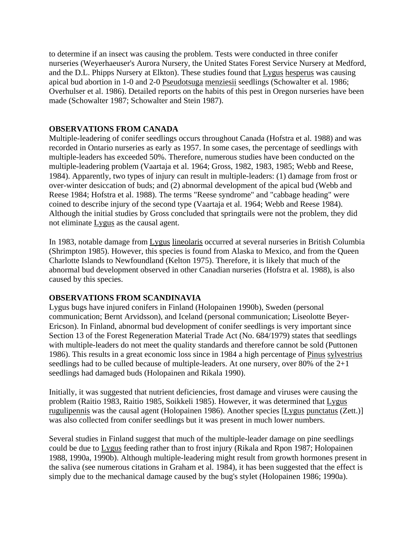to determine if an insect was causing the problem. Tests were conducted in three conifer nurseries (Weyerhaeuser's Aurora Nursery, the United States Forest Service Nursery at Medford, and the D.L. Phipps Nursery at Elkton). These studies found that Lygus hesperus was causing apical bud abortion in 1-0 and 2-0 Pseudotsuga menziesii seedlings (Schowalter et al. 1986; Overhulser et al. 1986). Detailed reports on the habits of this pest in Oregon nurseries have been made (Schowalter 1987; Schowalter and Stein 1987).

### **OBSERVATIONS FROM CANADA**

Multiple-leadering of conifer seedlings occurs throughout Canada (Hofstra et al. 1988) and was recorded in Ontario nurseries as early as 1957. In some cases, the percentage of seedlings with multiple-leaders has exceeded 50%. Therefore, numerous studies have been conducted on the multiple-leadering problem (Vaartaja et al. 1964; Gross, 1982, 1983, 1985; Webb and Reese, 1984). Apparently, two types of injury can result in multiple-leaders: (1) damage from frost or over-winter desiccation of buds; and (2) abnormal development of the apical bud (Webb and Reese 1984; Hofstra et al. 1988). The terms "Reese syndrome" and "cabbage heading" were coined to describe injury of the second type (Vaartaja et al. 1964; Webb and Reese 1984). Although the initial studies by Gross concluded that springtails were not the problem, they did not eliminate Lygus as the causal agent.

In 1983, notable damage from Lygus lineolaris occurred at several nurseries in British Columbia (Shrimpton 1985). However, this species is found from Alaska to Mexico, and from the Queen Charlotte Islands to Newfoundland (Kelton 1975). Therefore, it is likely that much of the abnormal bud development observed in other Canadian nurseries (Hofstra et al. 1988), is also caused by this species.

#### **OBSERVATIONS FROM SCANDINAVIA**

Lygus bugs have injured conifers in Finland (Holopainen 1990b), Sweden (personal communication; Bernt Arvidsson), and Iceland (personal communication; Liseolotte Beyer-Ericson). In Finland, abnormal bud development of conifer seedlings is very important since Section 13 of the Forest Regeneration Material Trade Act (No. 684/1979) states that seedlings with multiple-leaders do not meet the quality standards and therefore cannot be sold (Puttonen 1986). This results in a great economic loss since in 1984 a high percentage of Pinus sylvestrius seedlings had to be culled because of multiple-leaders. At one nursery, over 80% of the 2+1 seedlings had damaged buds (Holopainen and Rikala 1990).

Initially, it was suggested that nutrient deficiencies, frost damage and viruses were causing the problem (Raitio 1983, Raitio 1985, Soikkeli 1985). However, it was determined that Lygus rugulipennis was the causal agent (Holopainen 1986). Another species [Lygus punctatus (Zett.)] was also collected from conifer seedlings but it was present in much lower numbers.

Several studies in Finland suggest that much of the multiple-leader damage on pine seedlings could be due to Lygus feeding rather than to frost injury (Rikala and Rpon 1987; Holopainen 1988, 1990a, 1990b). Although multiple-leadering might result from growth hormones present in the saliva (see numerous citations in Graham et al. 1984), it has been suggested that the effect is simply due to the mechanical damage caused by the bug's stylet (Holopainen 1986; 1990a).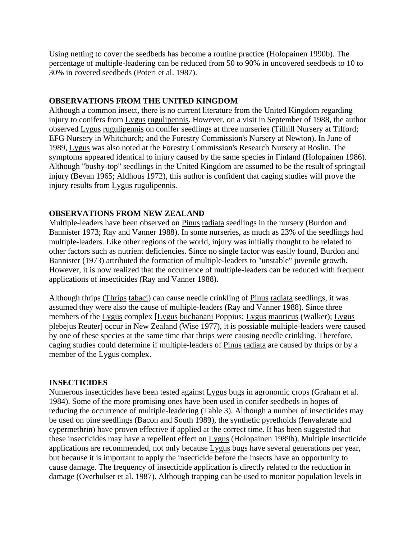Using netting to cover the seedbeds has become a routine practice (Holopainen 1990b). The percentage of multiple-leadering can be reduced from 50 to 90% in uncovered seedbeds to 10 to 30% in covered seedbeds (Poteri et al. 1987).

### **OBSERVATIONS FROM THE UNITED KINGDOM**

Although a common insect, there is no current literature from the United Kingdom regarding injury to conifers from Lygus rugulipennis. However, on a visit in September of 1988, the author observed Lygus rugulipennis on conifer seedlings at three nurseries (Tilhill Nursery at Tilford; EFG Nursery in Whitchurch; and the Forestry Commission's Nursery at Newton). In June of 1989, Lygus was also noted at the Forestry Commission's Research Nursery at Roslin. The symptoms appeared identical to injury caused by the same species in Finland (Holopainen 1986). Although "bushy-top" seedlings in the United Kingdom are assumed to be the result of springtail injury (Bevan 1965; Aldhous 1972), this author is confident that caging studies will prove the injury results from Lygus rugulipennis.

# **OBSERVATIONS FROM NEW ZEALAND**

Multiple-leaders have been observed on Pinus radiata seedlings in the nursery (Burdon and Bannister 1973; Ray and Vanner 1988). In some nurseries, as much as 23% of the seedlings had multiple-leaders. Like other regions of the world, injury was initially thought to be related to other factors such as nutrient deficiencies. Since no single factor was easily found, Burdon and Bannister (1973) attributed the formation of multiple-leaders to "unstable" juvenile growth. However, it is now realized that the occurrence of multiple-leaders can be reduced with frequent applications of insecticides (Ray and Vanner 1988).

Although thrips (Thrips tabaci) can cause needle crinkling of Pinus radiata seedlings, it was assumed they were also the cause of multiple-leaders (Ray and Vanner 1988). Since three members of the Lygus complex [Lygus buchanani Poppius; Lygus maoricus (Walker); Lygus plebejus Reuter] occur in New Zealand (Wise 1977), it is possiable multiple-leaders were caused by one of these species at the same time that thrips were causing needle crinkling. Therefore, caging studies could determine if multiple-leaders of Pinus radiata are caused by thrips or by a member of the Lygus complex.

# **INSECTICIDES**

Numerous insecticides have been tested against Lygus bugs in agronomic crops (Graham et al. 1984). Some of the more promising ones have been used in conifer seedbeds in hopes of reducing the occurrence of multiple-leadering (Table 3). Although a number of insecticides may be used on pine seedlings (Bacon and South 1989), the synthetic pyrethoids (fenvalerate and cypermethrin) have proven effective if applied at the correct time. It has been suggested that these insecticides may have a repellent effect on Lygus (Holopainen 1989b). Multiple insecticide applications are recommended, not only because Lygus bugs have several generations per year, but because it is important to apply the insecticide before the insects have an opportunity to cause damage. The frequency of insecticide application is directly related to the reduction in damage (Overhulser et al. 1987). Although trapping can be used to monitor population levels in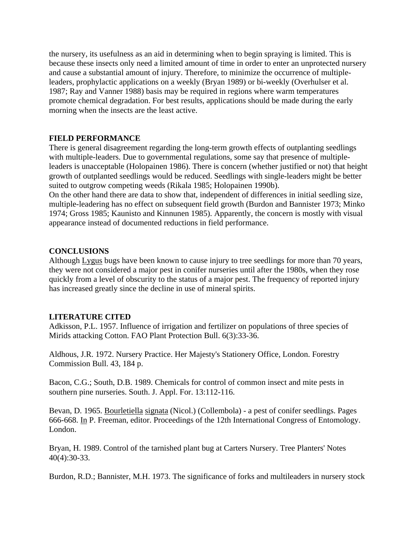the nursery, its usefulness as an aid in determining when to begin spraying is limited. This is because these insects only need a limited amount of time in order to enter an unprotected nursery and cause a substantial amount of injury. Therefore, to minimize the occurrence of multipleleaders, prophylactic applications on a weekly (Bryan 1989) or bi-weekly (Overhulser et al. 1987; Ray and Vanner 1988) basis may be required in regions where warm temperatures promote chemical degradation. For best results, applications should be made during the early morning when the insects are the least active.

### **FIELD PERFORMANCE**

There is general disagreement regarding the long-term growth effects of outplanting seedlings with multiple-leaders. Due to governmental regulations, some say that presence of multipleleaders is unacceptable (Holopainen 1986). There is concern (whether justified or not) that height growth of outplanted seedlings would be reduced. Seedlings with single-leaders might be better suited to outgrow competing weeds (Rikala 1985; Holopainen 1990b).

On the other hand there are data to show that, independent of differences in initial seedling size, multiple-leadering has no effect on subsequent field growth (Burdon and Bannister 1973; Minko 1974; Gross 1985; Kaunisto and Kinnunen 1985). Apparently, the concern is mostly with visual appearance instead of documented reductions in field performance.

### **CONCLUSIONS**

Although Lygus bugs have been known to cause injury to tree seedlings for more than 70 years, they were not considered a major pest in conifer nurseries until after the 1980s, when they rose quickly from a level of obscurity to the status of a major pest. The frequency of reported injury has increased greatly since the decline in use of mineral spirits.

#### **LITERATURE CITED**

Adkisson, P.L. 1957. Influence of irrigation and fertilizer on populations of three species of Mirids attacking Cotton. FAO Plant Protection Bull. 6(3):33-36.

Aldhous, J.R. 1972. Nursery Practice. Her Majesty's Stationery Office, London. Forestry Commission Bull. 43, 184 p.

Bacon, C.G.; South, D.B. 1989. Chemicals for control of common insect and mite pests in southern pine nurseries. South. J. Appl. For. 13:112-116.

Bevan, D. 1965. Bourletiella signata (Nicol.) (Collembola) - a pest of conifer seedlings. Pages 666-668. In P. Freeman, editor. Proceedings of the 12th International Congress of Entomology. London.

Bryan, H. 1989. Control of the tarnished plant bug at Carters Nursery. Tree Planters' Notes 40(4):30-33.

Burdon, R.D.; Bannister, M.H. 1973. The significance of forks and multileaders in nursery stock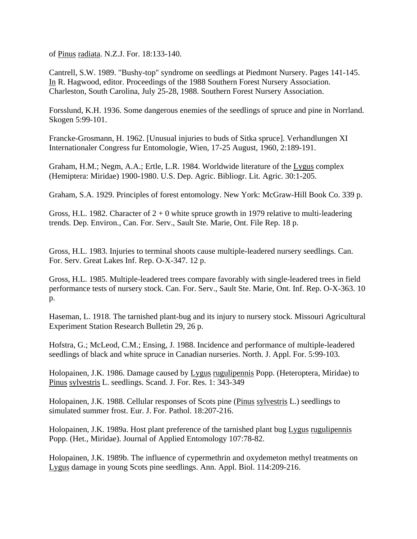of Pinus radiata. N.Z.J. For. 18:133-140.

Cantrell, S.W. 1989. "Bushy-top" syndrome on seedlings at Piedmont Nursery. Pages 141-145. In R. Hagwood, editor. Proceedings of the 1988 Southern Forest Nursery Association. Charleston, South Carolina, July 25-28, 1988. Southern Forest Nursery Association.

Forsslund, K.H. 1936. Some dangerous enemies of the seedlings of spruce and pine in Norrland. Skogen 5:99-101.

Francke-Grosmann, H. 1962. [Unusual injuries to buds of Sitka spruce]. Verhandlungen XI Internationaler Congress fur Entomologie, Wien, 17-25 August, 1960, 2:189-191.

Graham, H.M.; Negm, A.A.; Ertle, L.R. 1984. Worldwide literature of the Lygus complex (Hemiptera: Miridae) 1900-1980. U.S. Dep. Agric. Bibliogr. Lit. Agric. 30:1-205.

Graham, S.A. 1929. Principles of forest entomology. New York: McGraw-Hill Book Co. 339 p.

Gross, H.L. 1982. Character of  $2 + 0$  white spruce growth in 1979 relative to multi-leadering trends. Dep. Environ., Can. For. Serv., Sault Ste. Marie, Ont. File Rep. 18 p.

Gross, H.L. 1983. Injuries to terminal shoots cause multiple-leadered nursery seedlings. Can. For. Serv. Great Lakes Inf. Rep. O-X-347. 12 p.

Gross, H.L. 1985. Multiple-leadered trees compare favorably with single-leadered trees in field performance tests of nursery stock. Can. For. Serv., Sault Ste. Marie, Ont. Inf. Rep. O-X-363. 10 p.

Haseman, L. 1918. The tarnished plant-bug and its injury to nursery stock. Missouri Agricultural Experiment Station Research Bulletin 29, 26 p.

Hofstra, G.; McLeod, C.M.; Ensing, J. 1988. Incidence and performance of multiple-leadered seedlings of black and white spruce in Canadian nurseries. North. J. Appl. For. 5:99-103.

Holopainen, J.K. 1986. Damage caused by Lygus rugulipennis Popp. (Heteroptera, Miridae) to Pinus sylvestris L. seedlings. Scand. J. For. Res. 1: 343-349

Holopainen, J.K. 1988. Cellular responses of Scots pine (Pinus sylvestris L.) seedlings to simulated summer frost. Eur. J. For. Pathol. 18:207-216.

Holopainen, J.K. 1989a. Host plant preference of the tarnished plant bug Lygus rugulipennis Popp. (Het., Miridae). Journal of Applied Entomology 107:78-82.

Holopainen, J.K. 1989b. The influence of cypermethrin and oxydemeton methyl treatments on Lygus damage in young Scots pine seedlings. Ann. Appl. Biol. 114:209-216.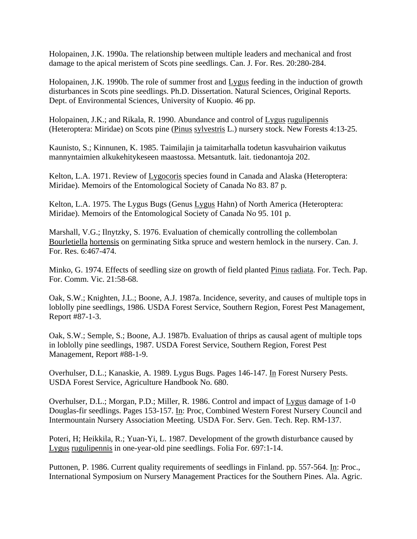Holopainen, J.K. 1990a. The relationship between multiple leaders and mechanical and frost damage to the apical meristem of Scots pine seedlings. Can. J. For. Res. 20:280-284.

Holopainen, J.K. 1990b. The role of summer frost and Lygus feeding in the induction of growth disturbances in Scots pine seedlings. Ph.D. Dissertation. Natural Sciences, Original Reports. Dept. of Environmental Sciences, University of Kuopio. 46 pp.

Holopainen, J.K.; and Rikala, R. 1990. Abundance and control of Lygus rugulipennis (Heteroptera: Miridae) on Scots pine (Pinus sylvestris L.) nursery stock. New Forests 4:13-25.

Kaunisto, S.; Kinnunen, K. 1985. Taimilajin ja taimitarhalla todetun kasvuhairion vaikutus mannyntaimien alkukehitykeseen maastossa. Metsantutk. lait. tiedonantoja 202.

Kelton, L.A. 1971. Review of Lygocoris species found in Canada and Alaska (Heteroptera: Miridae). Memoirs of the Entomological Society of Canada No 83. 87 p.

Kelton, L.A. 1975. The Lygus Bugs (Genus Lygus Hahn) of North America (Heteroptera: Miridae). Memoirs of the Entomological Society of Canada No 95. 101 p.

Marshall, V.G.; Ilnytzky, S. 1976. Evaluation of chemically controlling the collembolan Bourletiella hortensis on germinating Sitka spruce and western hemlock in the nursery. Can. J. For. Res. 6:467-474.

Minko, G. 1974. Effects of seedling size on growth of field planted Pinus radiata. For. Tech. Pap. For. Comm. Vic. 21:58-68.

Oak, S.W.; Knighten, J.L.; Boone, A.J. 1987a. Incidence, severity, and causes of multiple tops in loblolly pine seedlings, 1986. USDA Forest Service, Southern Region, Forest Pest Management, Report #87-1-3.

Oak, S.W.; Semple, S.; Boone, A.J. 1987b. Evaluation of thrips as causal agent of multiple tops in loblolly pine seedlings, 1987. USDA Forest Service, Southern Region, Forest Pest Management, Report #88-1-9.

Overhulser, D.L.; Kanaskie, A. 1989. Lygus Bugs. Pages 146-147. In Forest Nursery Pests. USDA Forest Service, Agriculture Handbook No. 680.

Overhulser, D.L.; Morgan, P.D.; Miller, R. 1986. Control and impact of Lygus damage of 1-0 Douglas-fir seedlings. Pages 153-157. In: Proc, Combined Western Forest Nursery Council and Intermountain Nursery Association Meeting. USDA For. Serv. Gen. Tech. Rep. RM-137.

Poteri, H; Heikkila, R.; Yuan-Yi, L. 1987. Development of the growth disturbance caused by Lygus rugulipennis in one-year-old pine seedlings. Folia For. 697:1-14.

Puttonen, P. 1986. Current quality requirements of seedlings in Finland. pp. 557-564. In: Proc., International Symposium on Nursery Management Practices for the Southern Pines. Ala. Agric.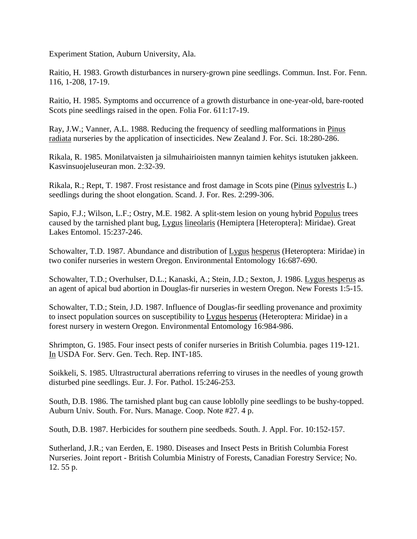Experiment Station, Auburn University, Ala.

Raitio, H. 1983. Growth disturbances in nursery-grown pine seedlings. Commun. Inst. For. Fenn. 116, 1-208, 17-19.

Raitio, H. 1985. Symptoms and occurrence of a growth disturbance in one-year-old, bare-rooted Scots pine seedlings raised in the open. Folia For. 611:17-19.

Ray, J.W.; Vanner, A.L. 1988. Reducing the frequency of seedling malformations in Pinus radiata nurseries by the application of insecticides. New Zealand J. For. Sci. 18:280-286.

Rikala, R. 1985. Monilatvaisten ja silmuhairioisten mannyn taimien kehitys istutuken jakkeen. Kasvinsuojeluseuran mon. 2:32-39.

Rikala, R.; Rept, T. 1987. Frost resistance and frost damage in Scots pine (Pinus sylvestris L.) seedlings during the shoot elongation. Scand. J. For. Res. 2:299-306.

Sapio, F.J.; Wilson, L.F.; Ostry, M.E. 1982. A split-stem lesion on young hybrid Populus trees caused by the tarnished plant bug, Lygus lineolaris (Hemiptera [Heteroptera]: Miridae). Great Lakes Entomol. 15:237-246.

Schowalter, T.D. 1987. Abundance and distribution of Lygus hesperus (Heteroptera: Miridae) in two conifer nurseries in western Oregon. Environmental Entomology 16:687-690.

Schowalter, T.D.; Overhulser, D.L.; Kanaski, A.; Stein, J.D.; Sexton, J. 1986. Lygus hesperus as an agent of apical bud abortion in Douglas-fir nurseries in western Oregon. New Forests 1:5-15.

Schowalter, T.D.; Stein, J.D. 1987. Influence of Douglas-fir seedling provenance and proximity to insect population sources on susceptibility to Lygus hesperus (Heteroptera: Miridae) in a forest nursery in western Oregon. Environmental Entomology 16:984-986.

Shrimpton, G. 1985. Four insect pests of conifer nurseries in British Columbia. pages 119-121. In USDA For. Serv. Gen. Tech. Rep. INT-185.

Soikkeli, S. 1985. Ultrastructural aberrations referring to viruses in the needles of young growth disturbed pine seedlings. Eur. J. For. Pathol. 15:246-253.

South, D.B. 1986. The tarnished plant bug can cause loblolly pine seedlings to be bushy-topped. Auburn Univ. South. For. Nurs. Manage. Coop. Note #27. 4 p.

South, D.B. 1987. Herbicides for southern pine seedbeds. South. J. Appl. For. 10:152-157.

Sutherland, J.R.; van Eerden, E. 1980. Diseases and Insect Pests in British Columbia Forest Nurseries. Joint report - British Columbia Ministry of Forests, Canadian Forestry Service; No. 12. 55 p.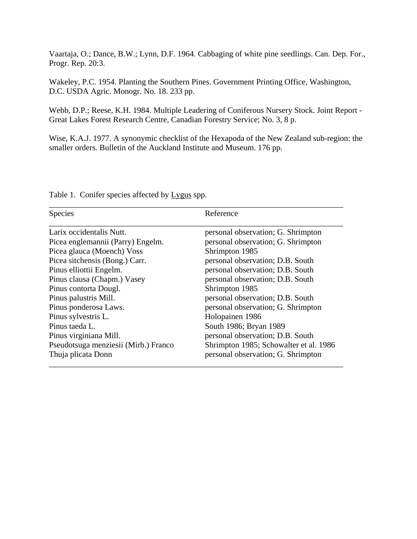Vaartaja, O.; Dance, B.W.; Lynn, D.F. 1964. Cabbaging of white pine seedlings. Can. Dep. For., Progr. Rep. 20:3.

Wakeley, P.C. 1954. Planting the Southern Pines. Government Printing Office, Washington, D.C. USDA Agric. Monogr. No. 18. 233 pp.

Webb, D.P.; Reese, K.H. 1984. Multiple Leadering of Coniferous Nursery Stock. Joint Report - Great Lakes Forest Research Centre, Canadian Forestry Service; No. 3, 8 p.

Wise, K.A.J. 1977. A synonymic checklist of the Hexapoda of the New Zealand sub-region: the smaller orders. Bulletin of the Auckland Institute and Museum. 176 pp.

| Species                              | Reference                              |
|--------------------------------------|----------------------------------------|
| Larix occidentalis Nutt.             | personal observation; G. Shrimpton     |
| Picea englemannii (Parry) Engelm.    | personal observation; G. Shrimpton     |
| Picea glauca (Moench) Voss           | Shrimpton 1985                         |
| Picea sitchensis (Bong.) Carr.       | personal observation; D.B. South       |
| Pinus elliottii Engelm.              | personal observation; D.B. South       |
| Pinus clausa (Chapm.) Vasey          | personal observation; D.B. South       |
| Pinus contorta Dougl.                | Shrimpton 1985                         |
| Pinus palustris Mill.                | personal observation; D.B. South       |
| Pinus ponderosa Laws.                | personal observation; G. Shrimpton     |
| Pinus sylvestris L.                  | Holopainen 1986                        |
| Pinus taeda L.                       | South 1986; Bryan 1989                 |
| Pinus virginiana Mill.               | personal observation; D.B. South       |
| Pseudotsuga menziesii (Mirb.) Franco | Shrimpton 1985; Schowalter et al. 1986 |
| Thuja plicata Donn                   | personal observation; G. Shrimpton     |

Table 1. Conifer species affected by Lygus spp.